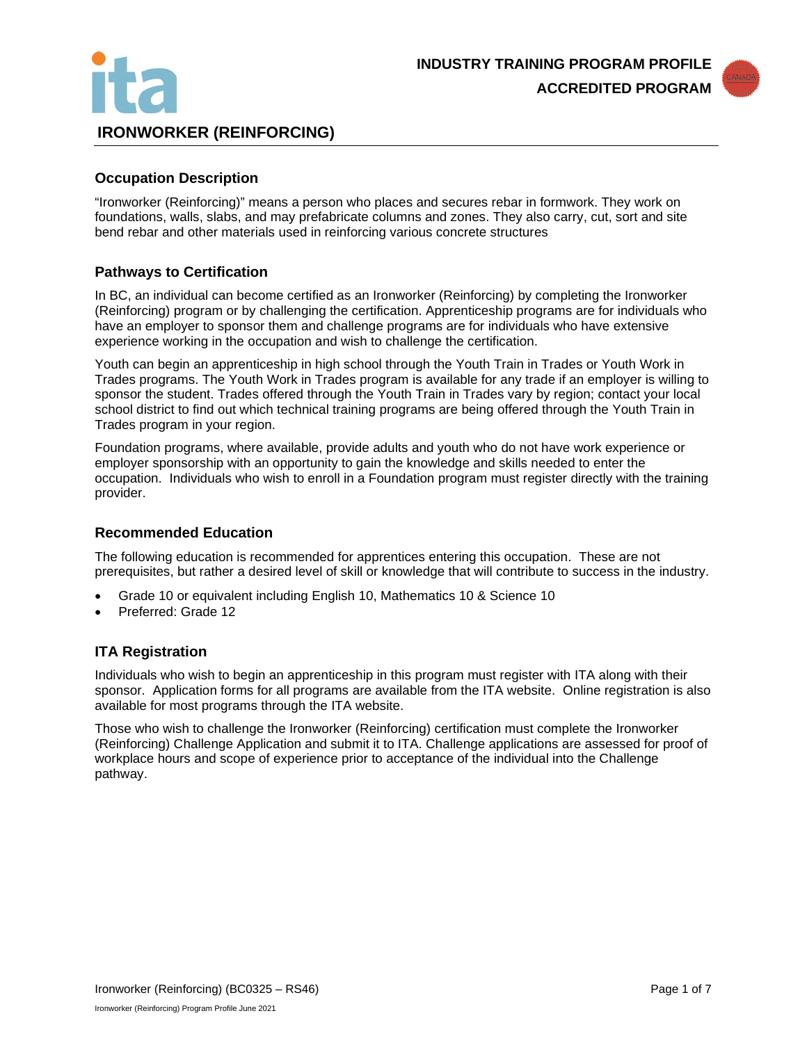



## **Occupation Description**

"Ironworker (Reinforcing)" means a person who places and secures rebar in formwork. They work on foundations, walls, slabs, and may prefabricate columns and zones. They also carry, cut, sort and site bend rebar and other materials used in reinforcing various concrete structures

## **Pathways to Certification**

In BC, an individual can become certified as an Ironworker (Reinforcing) by completing the Ironworker (Reinforcing) program or by challenging the certification. Apprenticeship programs are for individuals who have an employer to sponsor them and challenge programs are for individuals who have extensive experience working in the occupation and wish to challenge the certification.

Youth can begin an apprenticeship in high school through the Youth Train in Trades or Youth Work in Trades programs. The Youth Work in Trades program is available for any trade if an employer is willing to sponsor the student. Trades offered through the Youth Train in Trades vary by region; contact your local school district to find out which technical training programs are being offered through the Youth Train in Trades program in your region.

Foundation programs, where available, provide adults and youth who do not have work experience or employer sponsorship with an opportunity to gain the knowledge and skills needed to enter the occupation. Individuals who wish to enroll in a Foundation program must register directly with the training provider.

## **Recommended Education**

The following education is recommended for apprentices entering this occupation. These are not prerequisites, but rather a desired level of skill or knowledge that will contribute to success in the industry.

- Grade 10 or equivalent including English 10, Mathematics 10 & Science 10
- Preferred: Grade 12

## **ITA Registration**

Individuals who wish to begin an apprenticeship in this program must register with ITA along with their sponsor. Application forms for all programs are available from the ITA website. Online registration is also available for most programs through the ITA website.

Those who wish to challenge the Ironworker (Reinforcing) certification must complete the Ironworker (Reinforcing) Challenge Application and submit it to ITA. Challenge applications are assessed for proof of workplace hours and scope of experience prior to acceptance of the individual into the Challenge pathway.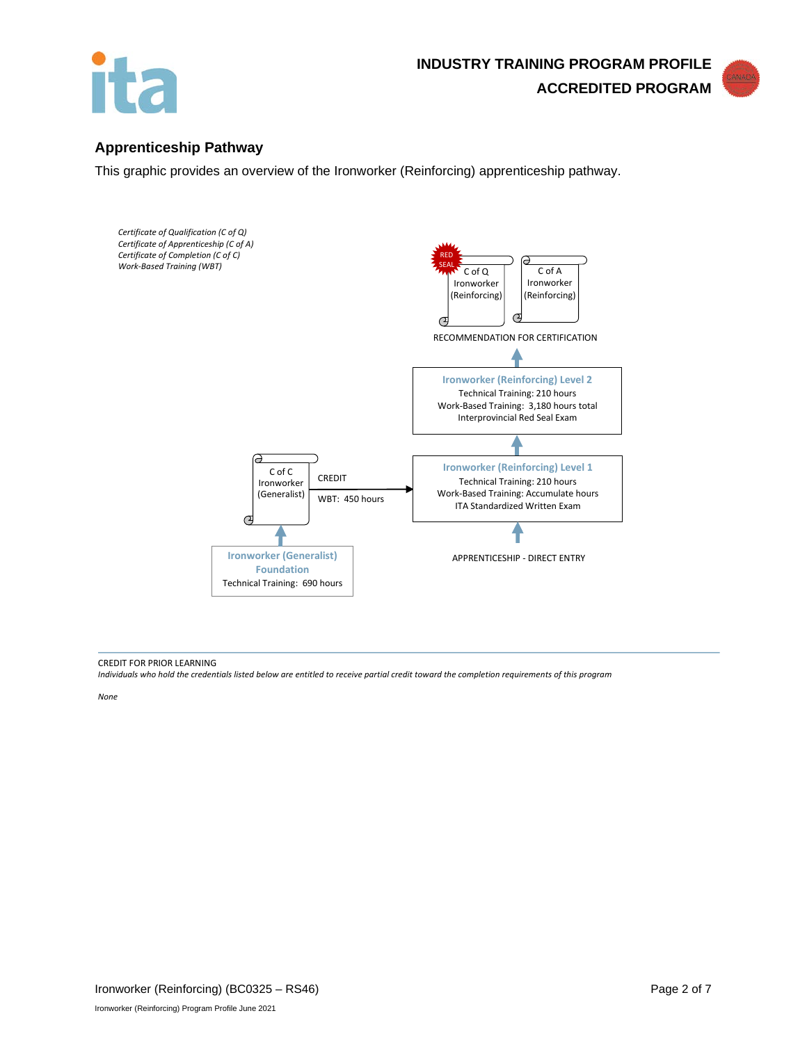



## **Apprenticeship Pathway**

This graphic provides an overview of the Ironworker (Reinforcing) apprenticeship pathway.



#### CREDIT FOR PRIOR LEARNING

*Individuals who hold the credentials listed below are entitled to receive partial credit toward the completion requirements of this program*

*None*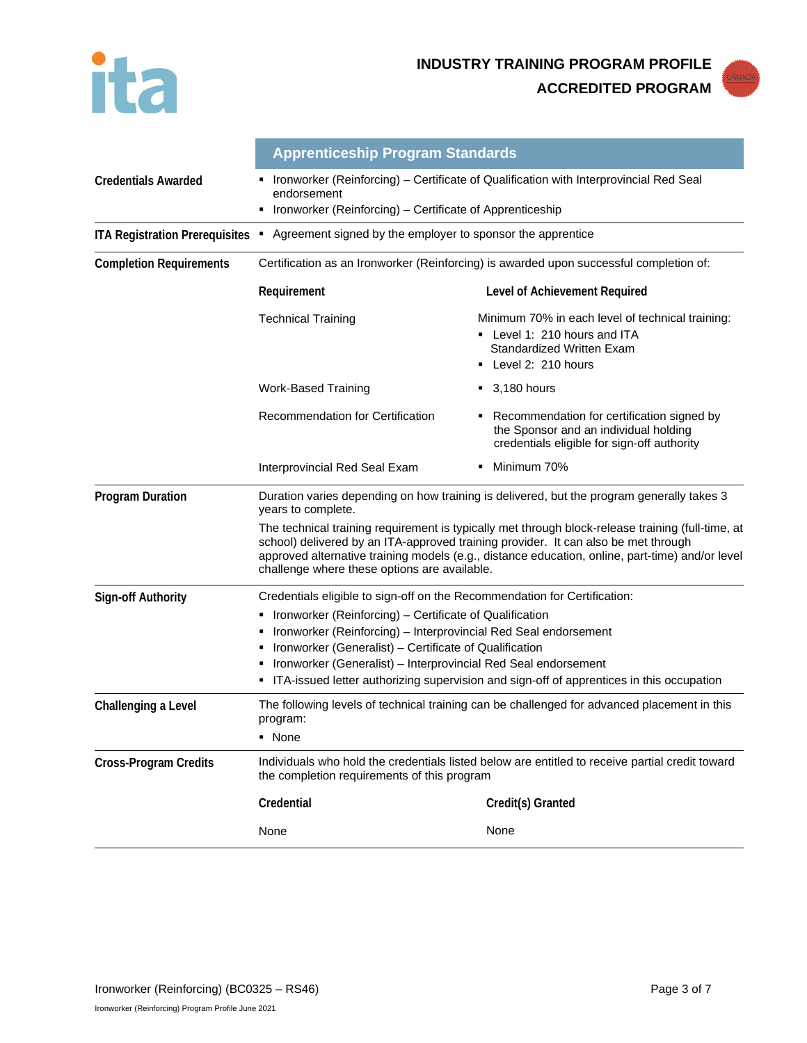



|                                       | <b>Apprenticeship Program Standards</b>                                                                                                                                                                                                                                                                                                    |                                                                                                                                              |  |  |
|---------------------------------------|--------------------------------------------------------------------------------------------------------------------------------------------------------------------------------------------------------------------------------------------------------------------------------------------------------------------------------------------|----------------------------------------------------------------------------------------------------------------------------------------------|--|--|
| <b>Credentials Awarded</b>            | Ironworker (Reinforcing) – Certificate of Qualification with Interprovincial Red Seal<br>٠<br>endorsement                                                                                                                                                                                                                                  |                                                                                                                                              |  |  |
|                                       | Ironworker (Reinforcing) - Certificate of Apprenticeship                                                                                                                                                                                                                                                                                   |                                                                                                                                              |  |  |
| <b>ITA Registration Prerequisites</b> | Agreement signed by the employer to sponsor the apprentice<br>٠                                                                                                                                                                                                                                                                            |                                                                                                                                              |  |  |
| <b>Completion Requirements</b>        | Certification as an Ironworker (Reinforcing) is awarded upon successful completion of:                                                                                                                                                                                                                                                     |                                                                                                                                              |  |  |
|                                       | Requirement                                                                                                                                                                                                                                                                                                                                | Level of Achievement Required                                                                                                                |  |  |
|                                       | <b>Technical Training</b>                                                                                                                                                                                                                                                                                                                  | Minimum 70% in each level of technical training:<br>- Level 1: 210 hours and ITA<br><b>Standardized Written Exam</b><br>• Level 2: 210 hours |  |  |
|                                       | Work-Based Training                                                                                                                                                                                                                                                                                                                        | $\bullet$ 3,180 hours                                                                                                                        |  |  |
|                                       | Recommendation for Certification                                                                                                                                                                                                                                                                                                           | Recommendation for certification signed by<br>the Sponsor and an individual holding<br>credentials eligible for sign-off authority           |  |  |
|                                       | Interprovincial Red Seal Exam                                                                                                                                                                                                                                                                                                              | Minimum 70%                                                                                                                                  |  |  |
| <b>Program Duration</b>               | Duration varies depending on how training is delivered, but the program generally takes 3<br>years to complete.                                                                                                                                                                                                                            |                                                                                                                                              |  |  |
|                                       | The technical training requirement is typically met through block-release training (full-time, at<br>school) delivered by an ITA-approved training provider. It can also be met through<br>approved alternative training models (e.g., distance education, online, part-time) and/or level<br>challenge where these options are available. |                                                                                                                                              |  |  |
| Sign-off Authority                    | Credentials eligible to sign-off on the Recommendation for Certification:                                                                                                                                                                                                                                                                  |                                                                                                                                              |  |  |
|                                       | • Ironworker (Reinforcing) – Certificate of Qualification                                                                                                                                                                                                                                                                                  |                                                                                                                                              |  |  |
|                                       | • Ironworker (Reinforcing) - Interprovincial Red Seal endorsement                                                                                                                                                                                                                                                                          |                                                                                                                                              |  |  |
|                                       | • Ironworker (Generalist) – Certificate of Qualification<br>Ironworker (Generalist) - Interprovincial Red Seal endorsement                                                                                                                                                                                                                 |                                                                                                                                              |  |  |
|                                       | • ITA-issued letter authorizing supervision and sign-off of apprentices in this occupation                                                                                                                                                                                                                                                 |                                                                                                                                              |  |  |
| Challenging a Level                   | The following levels of technical training can be challenged for advanced placement in this<br>program:                                                                                                                                                                                                                                    |                                                                                                                                              |  |  |
|                                       | • None                                                                                                                                                                                                                                                                                                                                     |                                                                                                                                              |  |  |
| <b>Cross-Program Credits</b>          | Individuals who hold the credentials listed below are entitled to receive partial credit toward<br>the completion requirements of this program                                                                                                                                                                                             |                                                                                                                                              |  |  |
|                                       | Credential                                                                                                                                                                                                                                                                                                                                 | Credit(s) Granted                                                                                                                            |  |  |
|                                       | None                                                                                                                                                                                                                                                                                                                                       | None                                                                                                                                         |  |  |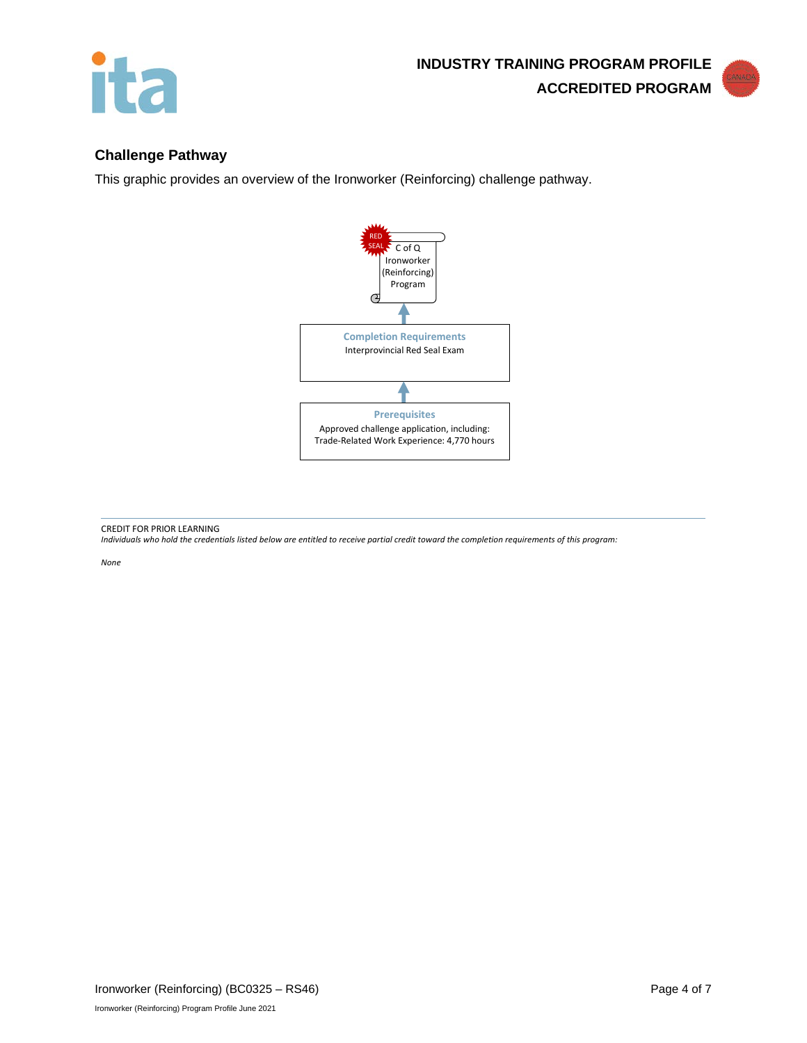



# **Challenge Pathway**

This graphic provides an overview of the Ironworker (Reinforcing) challenge pathway.



CREDIT FOR PRIOR LEARNING

*Individuals who hold the credentials listed below are entitled to receive partial credit toward the completion requirements of this program:*

*None*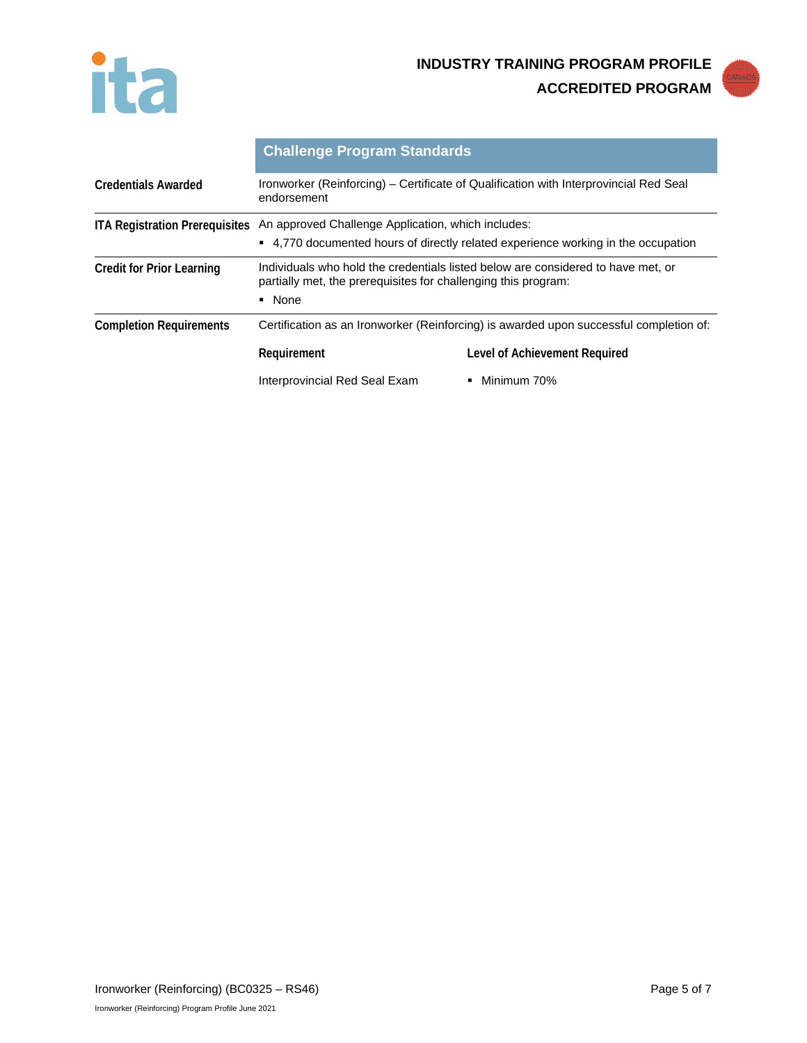



|                                       | <b>Challenge Program Standards</b>                                                                                                                           |                               |  |
|---------------------------------------|--------------------------------------------------------------------------------------------------------------------------------------------------------------|-------------------------------|--|
| <b>Credentials Awarded</b>            | Ironworker (Reinforcing) – Certificate of Qualification with Interprovincial Red Seal<br>endorsement                                                         |                               |  |
| <b>ITA Registration Prerequisites</b> | An approved Challenge Application, which includes:                                                                                                           |                               |  |
|                                       | • 4,770 documented hours of directly related experience working in the occupation                                                                            |                               |  |
| <b>Credit for Prior Learning</b>      | Individuals who hold the credentials listed below are considered to have met, or<br>partially met, the prerequisites for challenging this program:<br>• None |                               |  |
| <b>Completion Requirements</b>        | Certification as an Ironworker (Reinforcing) is awarded upon successful completion of:                                                                       |                               |  |
|                                       | Requirement                                                                                                                                                  | Level of Achievement Required |  |
|                                       | Interprovincial Red Seal Exam                                                                                                                                | Minimum 70%                   |  |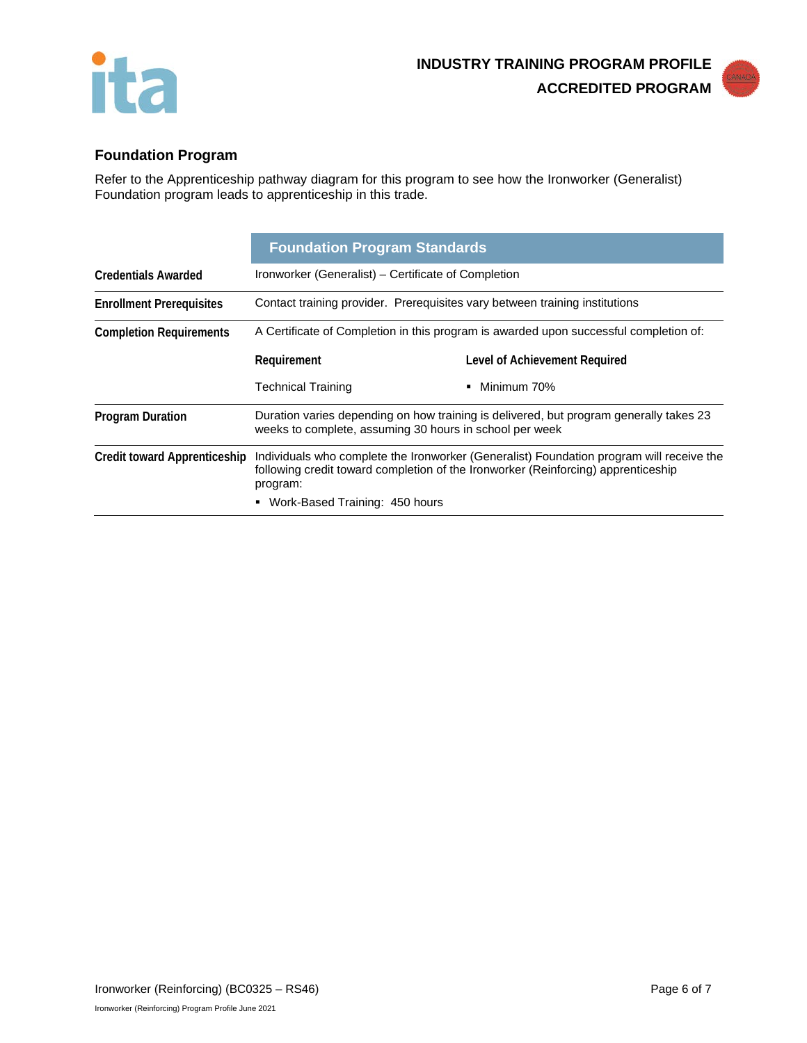



# **Foundation Program**

Refer to the Apprenticeship pathway diagram for this program to see how the Ironworker (Generalist) Foundation program leads to apprenticeship in this trade.

|                                     | <b>Foundation Program Standards</b>                                                                                                                                                       |                               |  |
|-------------------------------------|-------------------------------------------------------------------------------------------------------------------------------------------------------------------------------------------|-------------------------------|--|
| <b>Credentials Awarded</b>          | Ironworker (Generalist) – Certificate of Completion                                                                                                                                       |                               |  |
| <b>Enrollment Prerequisites</b>     | Contact training provider. Prerequisites vary between training institutions                                                                                                               |                               |  |
| <b>Completion Requirements</b>      | A Certificate of Completion in this program is awarded upon successful completion of:                                                                                                     |                               |  |
|                                     | Requirement                                                                                                                                                                               | Level of Achievement Required |  |
|                                     | <b>Technical Training</b>                                                                                                                                                                 | Minimum 70%                   |  |
| <b>Program Duration</b>             | Duration varies depending on how training is delivered, but program generally takes 23<br>weeks to complete, assuming 30 hours in school per week                                         |                               |  |
| <b>Credit toward Apprenticeship</b> | Individuals who complete the Ironworker (Generalist) Foundation program will receive the<br>following credit toward completion of the Ironworker (Reinforcing) apprenticeship<br>program: |                               |  |
|                                     | Work-Based Training: 450 hours                                                                                                                                                            |                               |  |